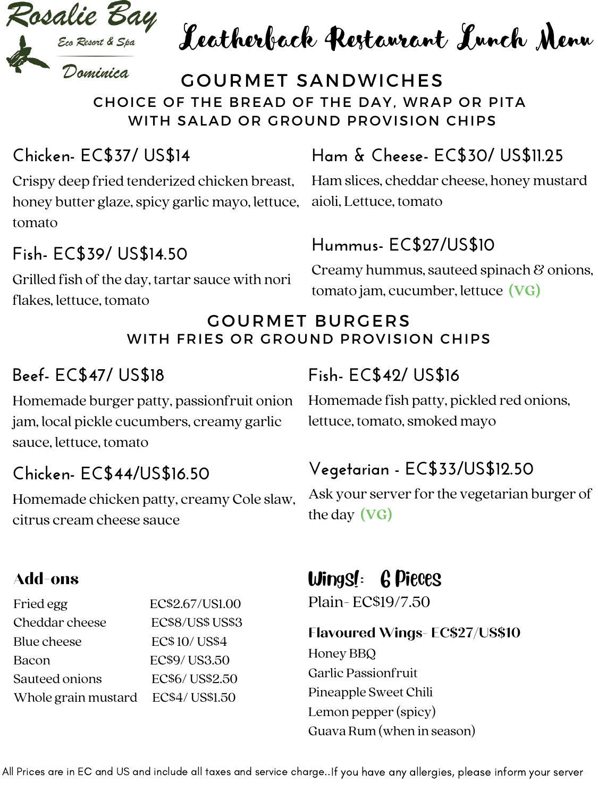

Leatherback Restaurant Lunch Menu

#### GOURMET SANDWICHES CHOICE OF THE BREAD OF THE DAY, WRAP OR PITA WITH SALAD OR GROUND PROVISION CHIPS

#### **Chicken- EC\$37/ US\$14**

Crispy deep fried tenderized chicken breast, honey butter glaze, spicy garlic mayo, lettuce, aioli, Lettuce, tomato tomato

#### **Fish- EC\$39/ US\$14.50**

Grilled fish of the day, tartar sauce with nori flakes, lettuce, tomato

## **Ham & Cheese- EC\$30/ US\$11.25**

Ham slices, cheddar cheese, honey mustard

#### **Hummus- EC\$27/US\$10**

Creamy hummus, sauteed spinach & onions, tomato jam, cucumber, lettuce **(VG)**

#### GOURMET BURGERS WITH FRIES OR GROUND PROVISION CHIPS

#### **Beef- EC\$47/ US\$18**

Homemade burger patty, passionfruit onion jam, local pickle cucumbers, creamy garlic sauce, lettuce, tomato

#### **Chicken- EC\$44/US\$16.50**

Homemade chicken patty, creamy Cole slaw, citrus cream cheese sauce

#### Add-ons

| Fried egg           | EC\$2.67/US1.00     |
|---------------------|---------------------|
| Cheddar cheese      | ECS8/US\$ US\$3     |
| Blue cheese         | <b>ECS 10/ USS4</b> |
| Bacon               | <b>EC\$9/US3.50</b> |
| Sauteed onions      | EC\$6/US\$2.50      |
| Whole grain mustard | EC\$4/US\$1.50      |

### **Fish- EC\$42/ US\$16**

Homemade fish patty, pickled red onions, lettuce, tomato, smoked mayo

#### **Vegetarian - EC\$33/US\$12.50**

Ask your server for the vegetarian burger of the day **(VG)**

Wings!: 6 Pieces

Plain- EC\$19/7.50

#### **Flavoured Wings- EC\$27/US\$10**

Honey BBQ Garlic Passionfruit Pineapple Sweet Chili Lemon pepper (spicy) Guava Rum (when in season)

All Prices are in EC and US and include all taxes and service charge..If you have any allergies, please inform your server